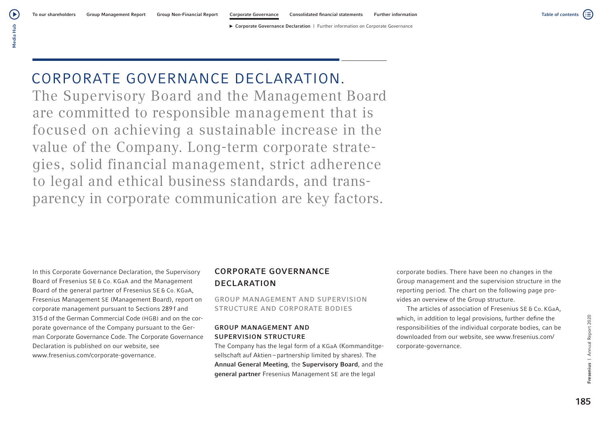# CORPORATE GOVERNANCE DECLARATION.

The Supervisory Board and the Management Board are committed to responsible management that is focused on achieving a sustainable increase in the value of the Company. Long-term corporate strategies, solid financial management, strict adherence to legal and ethical business standards, and transparency in corporate communication are key factors.

In this Corporate Governance Declaration, the Supervisory Board of Fresenius SE & Co. KGaA and the Management Board of the general partner of Fresenius SE & Co. KGaA, Fresenius Management SE (Management Board), report on corporate management pursuant to Sections 289 f and 315d of the German Commercial Code (HGB) and on the corporate governance of the Company pursuant to the German Corporate Governance Code. The Corporate Governance Declaration is published on our website, see www.fresenius.com/corporate-governance.

# CORPORATE GOVERNANCE DECLARATION

GROUP MANAGEMENT AND SUPERVISION STRUCTURE AND CORPORATE BODIES

## GROUP MANAGEMENT AND SUPERVISION STRUCTURE

The Company has the legal form of a KGaA (Kommanditgesellschaft auf Aktien – partnership limited by shares). The Annual General Meeting, the Supervisory Board, and the general partner Fresenius Management SE are the legal

corporate bodies. There have been no changes in the Group management and the supervision structure in the reporting period. The chart on the following page provides an overview of the Group structure.

The articles of association of Fresenius SE & Co. KGaA, which, in addition to legal provisions, further define the responsibilities of the individual corporate bodies, can be downloaded from our website, see www.fresenius.com/ corporate-governance.

Table of contents

(;≣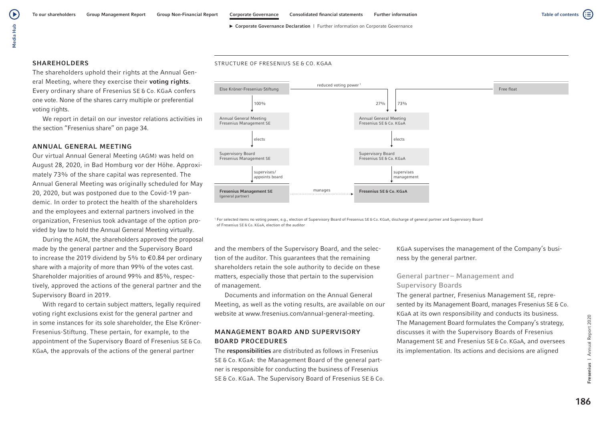STRUCTURE OF FRESENIUS SE & CO. KGAA

⋐ Table of contents

#### SHAREHOLDERS

The shareholders uphold their rights at the Annual General Meeting, where they exercise their voting rights. Every ordinary share of Fresenius SE & Co. KGaA confers one vote. None of the shares carry multiple or preferential voting rights.

We report in detail on our investor relations activities in the section "Fresenius share" on page 34.

#### ANNUAL GENERAL MEETING

Our virtual Annual General Meeting (AGM) was held on August 28, 2020, in Bad Homburg vor der Höhe. Approximately 73% of the share capital was represented. The Annual General Meeting was originally scheduled for May 20, 2020, but was postponed due to the Covid-19 pandemic. In order to protect the health of the shareholders and the employees and external partners involved in the organization, Fresenius took advantage of the option provided by law to hold the Annual General Meeting virtually.

During the AGM, the shareholders approved the proposal made by the general partner and the Supervisory Board to increase the 2019 dividend by 5% to €0.84 per ordinary share with a majority of more than 99% of the votes cast. Shareholder majorities of around 99% and 85%, respectively, approved the actions of the general partner and the Supervisory Board in 2019.

With regard to certain subject matters, legally required voting right exclusions exist for the general partner and in some instances for its sole shareholder, the Else Kröner-Fresenius-Stiftung. These pertain, for example, to the appointment of the Supervisory Board of Fresenius SE&Co. KGaA, the approvals of the actions of the general partner



<sup>1</sup> For selected items no voting power, e.g., election of Supervisory Board of Fresenius SE & Co. KGaA, discharge of general partner and Supervisory Board of Fresenius SE & Co. KGaA, election of the auditor

and the members of the Supervisory Board, and the selection of the auditor. This guarantees that the remaining shareholders retain the sole authority to decide on these matters, especially those that pertain to the supervision of management.

Documents and information on the Annual General Meeting, as well as the voting results, are available on our website at www.fresenius.com/annual-general-meeting.

## MANAGEMENT BOARD AND SUPERVISORY BOARD PROCEDURES

The responsibilities are distributed as follows in Fresenius SE & Co. KGaA: the Management Board of the general partner is responsible for conducting the business of Fresenius SE & Co. KGaA. The Supervisory Board of Fresenius SE & Co. KGaA supervises the management of the Company's business by the general partner.

## General partner – Management and Supervisory Boards

The general partner, Fresenius Management SE, represented by its Management Board, manages Fresenius SE & Co. KGaA at its own responsibility and conducts its business. The Management Board formulates the Company's strategy, discusses it with the Supervisory Boards of Fresenius Management SE and Fresenius SE&Co. KGaA, and oversees its implementation. Its actions and decisions are aligned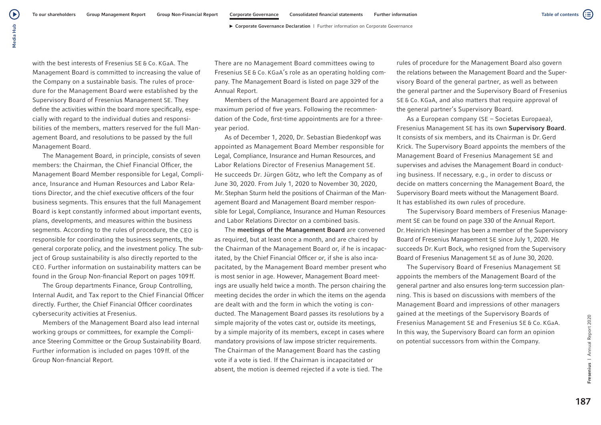with the best interests of Fresenius SE & Co. KGaA. The Management Board is committed to increasing the value of the Company on a sustainable basis. The rules of procedure for the Management Board were established by the Supervisory Board of Fresenius Management SE. They define the activities within the board more specifically, especially with regard to the individual duties and responsibilities of the members, matters reserved for the full Management Board, and resolutions to be passed by the full Management Board.

The Management Board, in principle, consists of seven members: the Chairman, the Chief Financial Officer, the Management Board Member responsible for Legal, Compliance, Insurance and Human Resources and Labor Relations Director, and the chief executive officers of the four business segments. This ensures that the full Management Board is kept constantly informed about important events, plans, developments, and measures within the business segments. According to the rules of procedure, the CEO is responsible for coordinating the business segments, the general corporate policy, and the investment policy. The subject of Group sustainability is also directly reported to the CEO. Further information on sustainability matters can be found in the Group Non-financial Report on pages 109ff.

The Group departments Finance, Group Controlling, Internal Audit, and Tax report to the Chief Financial Officer directly. Further, the Chief Financial Officer coordinates cybersecurity activities at Fresenius.

Members of the Management Board also lead internal working groups or committees, for example the Compliance Steering Committee or the Group Sustainability Board. Further information is included on pages 109ff. of the Group Non-financial Report.

There are no Management Board committees owing to Fresenius SE & Co. KGaA's role as an operating holding company. The Management Board is listed on page 329 of the Annual Report.

Members of the Management Board are appointed for a maximum period of five years. Following the recommendation of the Code, first-time appointments are for a threeyear period.

As of December 1, 2020, Dr. Sebastian Biedenkopf was appointed as Management Board Member responsible for Legal, Compliance, Insurance and Human Resources, and Labor Relations Director of Fresenius Management SE. He succeeds Dr. Jürgen Götz, who left the Company as of June 30, 2020. From July 1, 2020 to November 30, 2020, Mr.Stephan Sturm held the positions of Chairman of the Management Board and Management Board member responsible for Legal, Compliance, Insurance and Human Resources and Labor Relations Director on a combined basis.

The meetings of the Management Board are convened as required, but at least once a month, and are chaired by the Chairman of the Management Board or, if he is incapacitated, by the Chief Financial Officer or, if she is also incapacitated, by the Management Board member present who is most senior in age. However, Management Board meetings are usually held twice a month. The person chairing the meeting decides the order in which the items on the agenda are dealt with and the form in which the voting is conducted. The Management Board passes its resolutions by a simple majority of the votes cast or, outside its meetings, by a simple majority of its members, except in cases where mandatory provisions of law impose stricter requirements. The Chairman of the Management Board has the casting vote if a vote is tied. If the Chairman is incapacitated or absent, the motion is deemed rejected if a vote is tied. The

rules of procedure for the Management Board also govern the relations between the Management Board and the Supervisory Board of the general partner, as well as between the general partner and the Supervisory Board of Fresenius SE & Co. KGaA, and also matters that require approval of the general partner's Supervisory Board.

As a European company (SE – Societas Europaea), Fresenius Management SE has its own Supervisory Board. It consists of six members, and its Chairman is Dr. Gerd Krick. The Supervisory Board appoints the members of the Management Board of Fresenius Management SE and supervises and advises the Management Board in conducting business. If necessary, e.g., in order to discuss or decide on matters concerning the Management Board, the Supervisory Board meets without the Management Board. It has established its own rules of procedure.

The Supervisory Board members of Fresenius Management SE can be found on page 330 of the Annual Report. Dr.Heinrich Hiesinger has been a member of the Supervisory Board of Fresenius Management SE since July 1, 2020. He succeeds Dr.Kurt Bock, who resigned from the Supervisory Board of Fresenius Management SE as of June 30, 2020.

The Supervisory Board of Fresenius Management SE appoints the members of the Management Board of the general partner and also ensures long-term succession planning. This is based on discussions with members of the Management Board and impressions of other managers gained at the meetings of the Supervisory Boards of Fresenius Management SE and Fresenius SE & Co. KGaA. In this way, the Supervisory Board can form an opinion on potential successors from within the Company.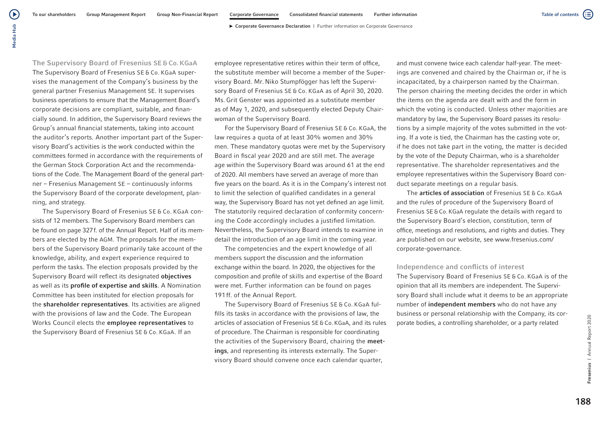$\left( \blacktriangleright \right)$ 

The Supervisory Board of Fresenius SE & Co. KGaA The Supervisory Board of Fresenius SE & Co. KGaA supervises the management of the Company's business by the general partner Fresenius Management SE. It supervises business operations to ensure that the Management Board's corporate decisions are compliant, suitable, and financially sound. In addition, the Supervisory Board reviews the Group's annual financial statements, taking into account the auditor's reports. Another important part of the Supervisory Board's activities is the work conducted within the committees formed in accordance with the requirements of the German Stock Corporation Act and the recommendations of the Code. The Management Board of the general partner – Fresenius Management SE – continuously informs the Supervisory Board of the corporate development, planning, and strategy.

The Supervisory Board of Fresenius SE & Co. KGaA consists of 12 members. The Supervisory Board members can be found on page 327f. of the Annual Report. Half of its members are elected by the AGM. The proposals for the members of the Supervisory Board primarily take account of the knowledge, ability, and expert experience required to perform the tasks. The election proposals provided by the Supervisory Board will reflect its designated objectives as well as its profile of expertise and skills. A Nomination Committee has been instituted for election proposals for the shareholder representatives. Its activities are aligned with the provisions of law and the Code. The European Works Council elects the employee representatives to the Supervisory Board of Fresenius SE & Co. KGaA. If an

employee representative retires within their term of office, the substitute member will become a member of the Supervisory Board. Mr. Niko Stumpfögger has left the Supervisory Board of Fresenius SE & Co. KGaA as of April 30, 2020. Ms. Grit Genster was appointed as a substitute member as of May 1, 2020, and subsequently elected Deputy Chairwoman of the Supervisory Board.

For the Supervisory Board of Fresenius SE & Co. KGaA, the law requires a quota of at least 30% women and 30% men. These mandatory quotas were met by the Supervisory Board in fiscal year 2020 and are still met. The average age within the Supervisory Board was around 61 at the end of 2020. All members have served an average of more than five years on the board. As it is in the Company's interest not to limit the selection of qualified candidates in a general way, the Supervisory Board has not yet defined an age limit. The statutorily required declaration of conformity concerning the Code accordingly includes a justified limitation. Nevertheless, the Supervisory Board intends to examine in detail the introduction of an age limit in the coming year.

The competencies and the expert knowledge of all members support the discussion and the information exchange within the board. In 2020, the objectives for the composition and profile of skills and expertise of the Board were met. Further information can be found on pages 191 ff. of the Annual Report.

The Supervisory Board of Fresenius SE & Co. KGaA fulfills its tasks in accordance with the provisions of law, the articles of association of Fresenius SE & Co. KGaA, and its rules of procedure. The Chairman is responsible for coordinating the activities of the Supervisory Board, chairing the meetings, and representing its interests externally. The Supervisory Board should convene once each calendar quarter,

and must convene twice each calendar half-year. The meetings are convened and chaired by the Chairman or, if he is incapacitated, by a chairperson named by the Chairman. The person chairing the meeting decides the order in which the items on the agenda are dealt with and the form in which the voting is conducted. Unless other majorities are mandatory by law, the Supervisory Board passes its resolutions by a simple majority of the votes submitted in the voting. If a vote is tied, the Chairman has the casting vote or, if he does not take part in the voting, the matter is decided by the vote of the Deputy Chairman, who is a shareholder representative. The shareholder representatives and the employee representatives within the Supervisory Board conduct separate meetings on a regular basis.

The **articles of association** of Fresenius SE & Co. KGaA and the rules of procedure of the Supervisory Board of Fresenius SE&Co. KGaA regulate the details with regard to the Supervisory Board's election, constitution, term of office, meetings and resolutions, and rights and duties. They are published on our website, see www.fresenius.com/ corporate-governance.

#### Independence and conflicts of interest

The Supervisory Board of Fresenius SE & Co. KGaA is of the opinion that all its members are independent. The Supervisory Board shall include what it deems to be an appropriate number of independent members who do not have any business or personal relationship with the Company, its corporate bodies, a controlling shareholder, or a party related

(≔)

Table of contents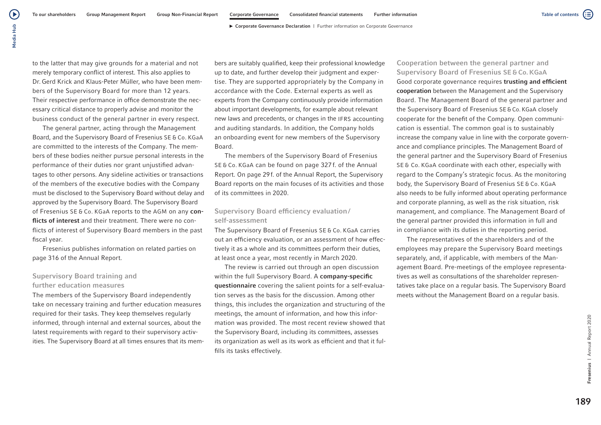to the latter that may give grounds for a material and not merely temporary conflict of interest. This also applies to Dr. Gerd Krick and Klaus-Peter Müller, who have been members of the Supervisory Board for more than 12 years. Their respective performance in office demonstrate the necessary critical distance to properly advise and monitor the business conduct of the general partner in every respect.

The general partner, acting through the Management Board, and the Supervisory Board of Fresenius SE & Co. KGaA are committed to the interests of the Company. The members of these bodies neither pursue personal interests in the performance of their duties nor grant unjustified advantages to other persons. Any sideline activities or transactions of the members of the executive bodies with the Company must be disclosed to the Supervisory Board without delay and approved by the Supervisory Board. The Supervisory Board of Fresenius SE & Co. KGaA reports to the AGM on any conflicts of interest and their treatment. There were no conflicts of interest of Supervisory Board members in the past fiscal year.

Fresenius publishes information on related parties on page 316 of the Annual Report.

## Supervisory Board training and further education measures

The members of the Supervisory Board independently take on necessary training and further education measures required for their tasks. They keep themselves regularly informed, through internal and external sources, about the latest requirements with regard to their supervisory activities. The Supervisory Board at all times ensures that its members are suitably qualified, keep their professional knowledge up to date, and further develop their judgment and expertise. They are supported appropriately by the Company in accordance with the Code. External experts as well as experts from the Company continuously provide information about important developments, for example about relevant new laws and precedents, or changes in the IFRS accounting and auditing standards. In addition, the Company holds an onboarding event for new members of the Supervisory Board.

The members of the Supervisory Board of Fresenius SE & Co. KGaA can be found on page 327 f. of the Annual Report. On page 29f. of the Annual Report, the Supervisory Board reports on the main focuses of its activities and those of its committees in 2020.

## Supervisory Board efficiency evaluation/ self-assessment

The Supervisory Board of Fresenius SE & Co. KGaA carries out an efficiency evaluation, or an assessment of how effectively it as a whole and its committees perform their duties, at least once a year, most recently in March 2020.

The review is carried out through an open discussion within the full Supervisory Board. A company-specific questionnaire covering the salient points for a self-evaluation serves as the basis for the discussion. Among other things, this includes the organization and structuring of the meetings, the amount of information, and how this information was provided. The most recent review showed that the Supervisory Board, including its committees, assesses its organization as well as its work as efficient and that it fulfills its tasks effectively.

Cooperation between the general partner and Supervisory Board of Fresenius SE & Co. KGaA Good corporate governance requires trusting and efficient cooperation between the Management and the Supervisory Board. The Management Board of the general partner and the Supervisory Board of Fresenius SE&Co. KGaA closely cooperate for the benefit of the Company. Open communication is essential. The common goal is to sustainably increase the company value in line with the corporate governance and compliance principles. The Management Board of the general partner and the Supervisory Board of Fresenius SE & Co. KGaA coordinate with each other, especially with regard to the Company's strategic focus. As the monitoring body, the Supervisory Board of Fresenius SE & Co. KGaA also needs to be fully informed about operating performance and corporate planning, as well as the risk situation, risk management, and compliance. The Management Board of the general partner provided this information in full and in compliance with its duties in the reporting period.

The representatives of the shareholders and of the employees may prepare the Supervisory Board meetings separately, and, if applicable, with members of the Management Board. Pre-meetings of the employee representatives as well as consultations of the shareholder representatives take place on a regular basis. The Supervisory Board meets without the Management Board on a regular basis.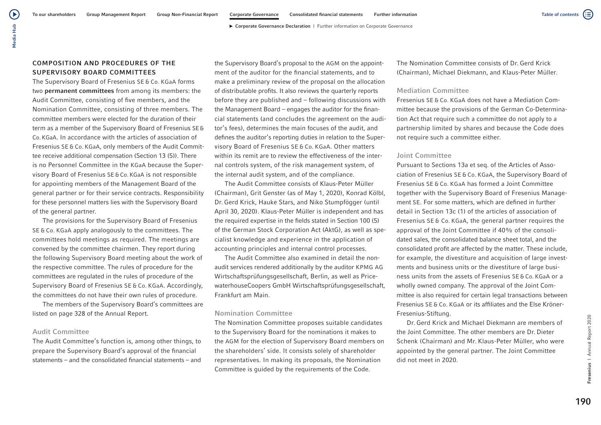## COMPOSITION AND PROCEDURES OF THE SUPERVISORY BOARD COMMITTEES

The Supervisory Board of Fresenius SE & Co. KGaA forms two permanent committees from among its members: the Audit Committee, consisting of five members, and the Nomination Committee, consisting of three members. The committee members were elected for the duration of their term as a member of the Supervisory Board of Fresenius SE& Co. KGaA. In accordance with the articles of association of Fresenius SE & Co. KGaA, only members of the Audit Committee receive additional compensation (Section 13 (5)). There is no Personnel Committee in the KGaA because the Supervisory Board of Fresenius SE&Co. KGaA is not responsible for appointing members of the Management Board of the general partner or for their service contracts. Responsibility for these personnel matters lies with the Supervisory Board of the general partner.

The provisions for the Supervisory Board of Fresenius SE & Co. KGaA apply analogously to the committees. The committees hold meetings as required. The meetings are convened by the committee chairmen. They report during the following Supervisory Board meeting about the work of the respective committee. The rules of procedure for the committees are regulated in the rules of procedure of the Supervisory Board of Fresenius SE & Co. KGaA. Accordingly, the committees do not have their own rules of procedure.

The members of the Supervisory Board's committees are listed on page 328 of the Annual Report.

## Audit Committee

The Audit Committee's function is, among other things, to prepare the Supervisory Board's approval of the financial statements – and the consolidated financial statements – and the Supervisory Board's proposal to the AGM on the appointment of the auditor for the financial statements, and to make a preliminary review of the proposal on the allocation of distributable profits. It also reviews the quarterly reports before they are published and – following discussions with the Management Board – engages the auditor for the financial statements (and concludes the agreement on the auditor's fees), determines the main focuses of the audit, and defines the auditor's reporting duties in relation to the Supervisory Board of Fresenius SE & Co. KGaA. Other matters within its remit are to review the effectiveness of the internal controls system, of the risk management system, of the internal audit system, and of the compliance.

The Audit Committee consists of Klaus-Peter Müller (Chairman), Grit Genster (as of May 1, 2020), Konrad Kölbl, Dr. Gerd Krick, Hauke Stars, and Niko Stumpfögger (until April 30, 2020). Klaus-Peter Müller is independent and has the required expertise in the fields stated in Section 100 (5) of the German Stock Corporation Act (AktG), as well as specialist knowledge and experience in the application of accounting principles and internal control processes.

The Audit Committee also examined in detail the nonaudit services rendered additionally by the auditor KPMG AG Wirtschaftsprüfungsgesellschaft, Berlin, as well as PricewaterhouseCoopers GmbH Wirtschaftsprüfungsgesellschaft, Frankfurt am Main.

#### Nomination Committee

The Nomination Committee proposes suitable candidates to the Supervisory Board for the nominations it makes to the AGM for the election of Supervisory Board members on the shareholders' side. It consists solely of shareholder representatives. In making its proposals, the Nomination Committee is guided by the requirements of the Code.

The Nomination Committee consists of Dr. Gerd Krick (Chairman), Michael Diekmann, and Klaus-Peter Müller.

#### Mediation Committee

Fresenius SE & Co. KGaA does not have a Mediation Committee because the provisions of the German Co-Determination Act that require such a committee do not apply to a partnership limited by shares and because the Code does not require such a committee either.

#### Joint Committee

Pursuant to Sections 13a et seq. of the Articles of Association of Fresenius SE & Co. KGaA, the Supervisory Board of Fresenius SE & Co. KGaA has formed a Joint Committee together with the Supervisory Board of Fresenius Management SE. For some matters, which are defined in further detail in Section 13c (1) of the articles of association of Fresenius SE & Co. KGaA, the general partner requires the approval of the Joint Committee if 40% of the consolidated sales, the consolidated balance sheet total, and the consolidated profit are affected by the matter. These include, for example, the divestiture and acquisition of large investments and business units or the divestiture of large business units from the assets of Fresenius SE & Co. KGaA or a wholly owned company. The approval of the Joint Committee is also required for certain legal transactions between Fresenius SE & Co. KGaA or its affiliates and the Else Kröner-Fresenius-Stiftung.

Dr. Gerd Krick and Michael Diekmann are members of the Joint Committee. The other members are Dr. Dieter Schenk (Chairman) and Mr. Klaus-Peter Müller, who were appointed by the general partner. The Joint Committee did not meet in 2020.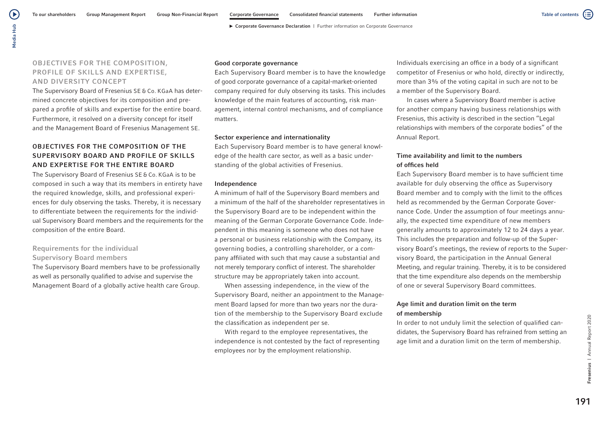Table of contents

(≔)

## OBJECTIVES FOR THE COMPOSITION, PROFILE OF SKILLS AND EXPERTISE, AND DIVERSITY CONCEPT

The Supervisory Board of Fresenius SE & Co. KGaA has determined concrete objectives for its composition and prepared a profile of skills and expertise for the entire board. Furthermore, it resolved on a diversity concept for itself and the Management Board of Fresenius Management SE.

## OBJECTIVES FOR THE COMPOSITION OF THE SUPERVISORY BOARD AND PROFILE OF SKILLS AND EXPERTISE FOR THE ENTIRE BOARD

The Supervisory Board of Fresenius SE & Co. KGaA is to be composed in such a way that its members in entirety have the required knowledge, skills, and professional experiences for duly observing the tasks. Thereby, it is necessary to differentiate between the requirements for the individual Supervisory Board members and the requirements for the composition of the entire Board.

## Requirements for the individual Supervisory Board members

The Supervisory Board members have to be professionally as well as personally qualified to advise and supervise the Management Board of a globally active health care Group.

#### Good corporate governance

Each Supervisory Board member is to have the knowledge of good corporate governance of a capital-market-oriented company required for duly observing its tasks. This includes knowledge of the main features of accounting, risk management, internal control mechanisms, and of compliance matters.

#### Sector experience and internationality

Each Supervisory Board member is to have general knowledge of the health care sector, as well as a basic understanding of the global activities of Fresenius.

#### Independence

A minimum of half of the Supervisory Board members and a minimum of the half of the shareholder representatives in the Supervisory Board are to be independent within the meaning of the German Corporate Governance Code. Independent in this meaning is someone who does not have a personal or business relationship with the Company, its governing bodies, a controlling shareholder, or a company affiliated with such that may cause a substantial and not merely temporary conflict of interest. The shareholder structure may be appropriately taken into account.

When assessing independence, in the view of the Supervisory Board, neither an appointment to the Management Board lapsed for more than two years nor the duration of the membership to the Supervisory Board exclude the classification as independent per se.

With regard to the employee representatives, the independence is not contested by the fact of representing employees nor by the employment relationship.

Individuals exercising an office in a body of a significant competitor of Fresenius or who hold, directly or indirectly, more than 3% of the voting capital in such are not to be a member of the Supervisory Board.

In cases where a Supervisory Board member is active for another company having business relationships with Fresenius, this activity is described in the section "Legal relationships with members of the corporate bodies" of the Annual Report.

## Time availability and limit to the numbers of offices held

Each Supervisory Board member is to have sufficient time available for duly observing the office as Supervisory Board member and to comply with the limit to the offices held as recommended by the German Corporate Governance Code. Under the assumption of four meetings annually, the expected time expenditure of new members generally amounts to approximately 12 to 24 days a year. This includes the preparation and follow-up of the Supervisory Board's meetings, the review of reports to the Supervisory Board, the participation in the Annual General Meeting, and regular training. Thereby, it is to be considered that the time expenditure also depends on the membership of one or several Supervisory Board committees.

## Age limit and duration limit on the term of membership

In order to not unduly limit the selection of qualified candidates, the Supervisory Board has refrained from setting an age limit and a duration limit on the term of membership.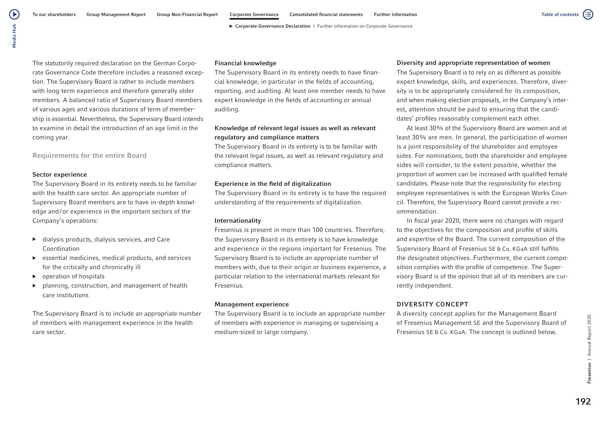( ≣

▶ Corporate Governance Declaration | Further information on Corporate Governance

Media Hub Media Hub

 $\left( \blacktriangleright \right)$ 

The statutorily required declaration on the German Corporate Governance Code therefore includes a reasoned exception. The Supervisory Board is rather to include members with long-term experience and therefore generally older members. A balanced ratio of Supervisory Board members of various ages and various durations of term of membership is essential. Nevertheless, the Supervisory Board intends to examine in detail the introduction of an age limit in the coming year.

Requirements for the entire Board

## Sector experience

The Supervisory Board in its entirety needs to be familiar with the health care sector. An appropriate number of Supervisory Board members are to have in-depth knowledge and/or experience in the important sectors of the Company's operations:

- ▶ dialysis products, dialysis services, and Care Coordination
- $\triangleright$  essential medicines, medical products, and services for the critically and chronically ill
- $\triangleright$  operation of hospitals
- planning, construction, and management of health care institutions

The Supervisory Board is to include an appropriate number of members with management experience in the health care sector.

#### Financial knowledge

The Supervisory Board in its entirety needs to have financial knowledge, in particular in the fields of accounting, reporting, and auditing. At least one member needs to have expert knowledge in the fields of accounting or annual auditing.

## Knowledge of relevant legal issues as well as relevant regulatory and compliance matters

The Supervisory Board in its entirety is to be familiar with the relevant legal issues, as well as relevant regulatory and compliance matters.

## Experience in the field of digitalization

The Supervisory Board in its entirety is to have the required understanding of the requirements of digitalization.

## Internationality

Fresenius is present in more than 100 countries. Therefore, the Supervisory Board in its entirety is to have knowledge and experience in the regions important for Fresenius. The Supervisory Board is to include an appropriate number of members with, due to their origin or business experience, a particular relation to the international markets relevant for Fresenius.

#### Management experience

The Supervisory Board is to include an appropriate number of members with experience in managing or supervising a medium-sized or large company.

## Diversity and appropriate representation of women

The Supervisory Board is to rely on as different as possible expert knowledge, skills, and experiences. Therefore, diversity is to be appropriately considered for its composition, and when making election proposals, in the Company's interest, attention should be paid to ensuring that the candidates' profiles reasonably complement each other.

At least 30% of the Supervisory Board are women and at least 30% are men. In general, the participation of women is a joint responsibility of the shareholder and employee sides. For nominations, both the shareholder and employee sides will consider, to the extent possible, whether the proportion of women can be increased with qualified female candidates. Please note that the responsibility for electing employee representatives is with the European Works Council. Therefore, the Supervisory Board cannot provide a recommendation.

In fiscal year 2020, there were no changes with regard to the objectives for the composition and profile of skills and expertise of the Board. The current composition of the Supervisory Board of Fresenius SE & Co. KGaA still fulfills the designated objectives. Furthermore, the current composition complies with the profile of competence. The Supervisory Board is of the opinion that all of its members are currently independent.

## DIVERSITY CONCEPT

A diversity concept applies for the Management Board of Fresenius Management SE and the Supervisory Board of Fresenius SE & Co. KGaA. The concept is outlined below.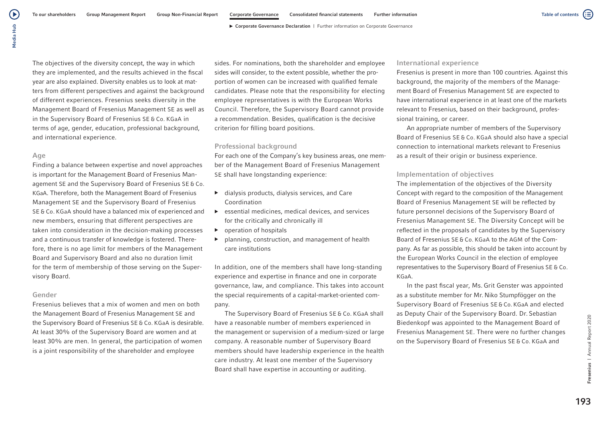The objectives of the diversity concept, the way in which they are implemented, and the results achieved in the fiscal year are also explained. Diversity enables us to look at matters from different perspectives and against the background of different experiences. Fresenius seeks diversity in the Management Board of Fresenius Management SE as well as in the Supervisory Board of Fresenius SE & Co. KGaA in terms of age, gender, education, professional background, and international experience.

#### Age

Finding a balance between expertise and novel approaches is important for the Management Board of Fresenius Management SE and the Supervisory Board of Fresenius SE & Co. KGaA. Therefore, both the Management Board of Fresenius Management SE and the Supervisory Board of Fresenius SE & Co. KGaA should have a balanced mix of experienced and new members, ensuring that different perspectives are taken into consideration in the decision-making processes and a continuous transfer of knowledge is fostered. Therefore, there is no age limit for members of the Management Board and Supervisory Board and also no duration limit for the term of membership of those serving on the Supervisory Board.

#### Gender

Fresenius believes that a mix of women and men on both the Management Board of Fresenius Management SE and the Supervisory Board of Fresenius SE & Co. KGaA is desirable. At least 30% of the Supervisory Board are women and at least 30% are men. In general, the participation of women is a joint responsibility of the shareholder and employee

sides. For nominations, both the shareholder and employee sides will consider, to the extent possible, whether the proportion of women can be increased with qualified female candidates. Please note that the responsibility for electing employee representatives is with the European Works Council. Therefore, the Supervisory Board cannot provide a recommendation. Besides, qualification is the decisive criterion for filling board positions.

#### Professional background

For each one of the Company's key business areas, one member of the Management Board of Fresenius Management SE shall have longstanding experience:

- $\blacktriangleright$  dialysis products, dialysis services, and Care Coordination
- $\blacktriangleright$  essential medicines, medical devices, and services for the critically and chronically ill
- ▶ operation of hospitals
- ▶ planning, construction, and management of health care institutions

In addition, one of the members shall have long-standing experience and expertise in finance and one in corporate governance, law, and compliance. This takes into account the special requirements of a capital-market-oriented company.

The Supervisory Board of Fresenius SE & Co. KGaA shall have a reasonable number of members experienced in the management or supervision of a medium-sized or large company. A reasonable number of Supervisory Board members should have leadership experience in the health care industry. At least one member of the Supervisory Board shall have expertise in accounting or auditing.

#### International experience

Fresenius is present in more than 100 countries. Against this background, the majority of the members of the Management Board of Fresenius Management SE are expected to have international experience in at least one of the markets relevant to Fresenius, based on their background, professional training, or career.

An appropriate number of members of the Supervisory Board of Fresenius SE & Co. KGaA should also have a special connection to international markets relevant to Fresenius as a result of their origin or business experience.

#### Implementation of objectives

The implementation of the objectives of the Diversity Concept with regard to the composition of the Management Board of Fresenius Management SE will be reflected by future personnel decisions of the Supervisory Board of Fresenius Management SE. The Diversity Concept will be reflected in the proposals of candidates by the Supervisory Board of Fresenius SE & Co. KGaA to the AGM of the Company. As far as possible, this should be taken into account by the European Works Council in the election of employee representatives to the Supervisory Board of Fresenius SE & Co. KGaA.

In the past fiscal year, Ms. Grit Genster was appointed as a substitute member for Mr. Niko Stumpfögger on the Supervisory Board of Fresenius SE & Co. KGaA and elected as Deputy Chair of the Supervisory Board. Dr. Sebastian Biedenkopf was appointed to the Management Board of Fresenius Management SE. There were no further changes on the Supervisory Board of Fresenius SE & Co. KGaA and

Table of contents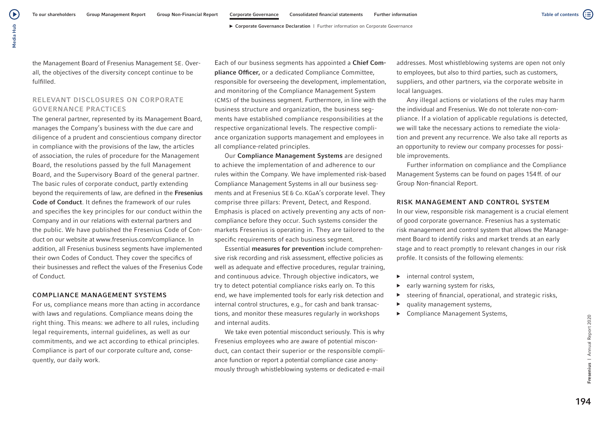the Management Board of Fresenius Management SE. Overall, the objectives of the diversity concept continue to be fulfilled.

## RELEVANT DISCLOSURES ON CORPORATE GOVERNANCE PRACTICES

The general partner, represented by its Management Board, manages the Company's business with the due care and diligence of a prudent and conscientious company director in compliance with the provisions of the law, the articles of association, the rules of procedure for the Management Board, the resolutions passed by the full Management Board, and the Supervisory Board of the general partner. The basic rules of corporate conduct, partly extending beyond the requirements of law, are defined in the Fresenius Code of Conduct. It defines the framework of our rules and specifies the key principles for our conduct within the Company and in our relations with external partners and the public. We have published the Fresenius Code of Conduct on our website at www.fresenius.com/compliance. In addition, all Fresenius business segments have implemented their own Codes of Conduct. They cover the specifics of their businesses and reflect the values of the Fresenius Code of Conduct.

#### COMPLIANCE MANAGEMENT SYSTEMS

For us, compliance means more than acting in accordance with laws and regulations. Compliance means doing the right thing. This means: we adhere to all rules, including legal requirements, internal guidelines, as well as our commitments, and we act according to ethical principles. Compliance is part of our corporate culture and, consequently, our daily work.

Each of our business segments has appointed a Chief Compliance Officer, or a dedicated Compliance Committee, responsible for overseeing the development, implementation, and monitoring of the Compliance Management System (CMS) of the business segment. Furthermore, in line with the business structure and organization, the business segments have established compliance responsibilities at the respective organizational levels. The respective compliance organization supports management and employees in all compliance-related principles.

Our Compliance Management Systems are designed to achieve the implementation of and adherence to our rules within the Company. We have implemented risk-based Compliance Management Systems in all our business segments and at Fresenius SE& Co.KGaA's corporate level. They comprise three pillars: Prevent, Detect, and Respond. Emphasis is placed on actively preventing any acts of noncompliance before they occur. Such systems consider the markets Fresenius is operating in. They are tailored to the specific requirements of each business segment.

Essential measures for prevention include comprehensive risk recording and risk assessment, effective policies as well as adequate and effective procedures, regular training, and continuous advice. Through objective indicators, we try to detect potential compliance risks early on. To this end, we have implemented tools for early risk detection and internal control structures, e.g., for cash and bank transactions, and monitor these measures regularly in workshops and internal audits.

We take even potential misconduct seriously. This is why Fresenius employees who are aware of potential misconduct, can contact their superior or the responsible compliance function or report a potential compliance case anonymously through whistleblowing systems or dedicated e-mail

addresses. Most whistleblowing systems are open not only to employees, but also to third parties, such as customers, suppliers, and other partners, via the corporate website in local languages.

Any illegal actions or violations of the rules may harm the individual and Fresenius. We do not tolerate non-compliance. If a violation of applicable regulations is detected, we will take the necessary actions to remediate the violation and prevent any recurrence. We also take all reports as an opportunity to review our company processes for possible improvements.

Further information on compliance and the Compliance Management Systems can be found on pages 154ff. of our Group Non-financial Report.

#### RISK MANAGEMENT AND CONTROL SYSTEM

In our view, responsible risk management is a crucial element of good corporate governance. Fresenius has a systematic risk management and control system that allows the Management Board to identify risks and market trends at an early stage and to react promptly to relevant changes in our risk profile. It consists of the following elements:

- ▶ internal control system,
- $\blacktriangleright$  early warning system for risks,
- ▶ steering of financial, operational, and strategic risks,
- ▶ quality management systems,
- ▶ Compliance Management Systems.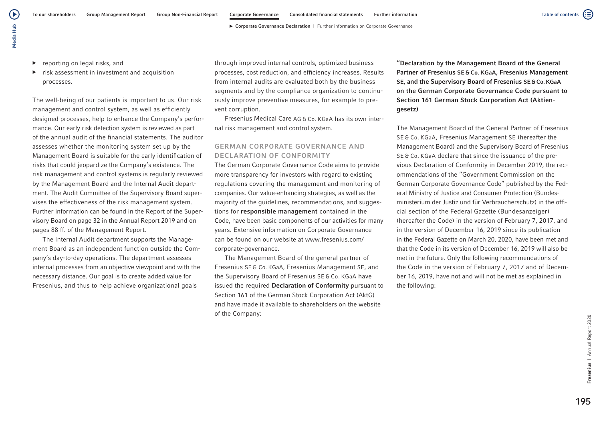$\blacktriangleright$  reporting on legal risks, and

Media Hub

Media Hub

 $\left( \blacktriangleright \right)$ 

 $\triangleright$  risk assessment in investment and acquisition processes.

The well-being of our patients is important to us. Our risk management and control system, as well as efficiently designed processes, help to enhance the Company's performance. Our early risk detection system is reviewed as part of the annual audit of the financial statements. The auditor assesses whether the monitoring system set up by the Management Board is suitable for the early identification of risks that could jeopardize the Company's existence. The risk management and control systems is regularly reviewed by the Management Board and the Internal Audit department. The Audit Committee of the Supervisory Board supervises the effectiveness of the risk management system. Further information can be found in the Report of the Supervisory Board on page 32 in the Annual Report 2019 and on pages 88 ff. of the Management Report.

The Internal Audit department supports the Management Board as an independent function outside the Company's day-to-day operations. The department assesses internal processes from an objective viewpoint and with the necessary distance. Our goal is to create added value for Fresenius, and thus to help achieve organizational goals

through improved internal controls, optimized business processes, cost reduction, and efficiency increases. Results from internal audits are evaluated both by the business segments and by the compliance organization to continuously improve preventive measures, for example to prevent corruption.

Fresenius Medical Care AG & Co. KGaA has its own internal risk management and control system.

## GERMAN CORPORATE GOVERNANCE AND DECLARATION OF CONFORMITY

The German Corporate Governance Code aims to provide more transparency for investors with regard to existing regulations covering the management and monitoring of companies. Our value-enhancing strategies, as well as the majority of the guidelines, recommendations, and suggestions for responsible management contained in the Code, have been basic components of our activities for many years. Extensive information on Corporate Governance can be found on our website at www.fresenius.com/ corporate-governance.

The Management Board of the general partner of Fresenius SE & Co. KGaA, Fresenius Management SE, and the Supervisory Board of Fresenius SE & Co. KGaA have issued the required Declaration of Conformity pursuant to Section 161 of the German Stock Corporation Act (AktG) and have made it available to shareholders on the website of the Company:

"Declaration by the Management Board of the General Partner of Fresenius SE & Co. KGaA, Fresenius Management SE, and the Supervisory Board of Fresenius SE&Co.KGaA on the German Corporate Governance Code pursuant to Section 161 German Stock Corporation Act (Aktiengesetz)

The Management Board of the General Partner of Fresenius SE & Co. KGaA, Fresenius Management SE (hereafter the Management Board) and the Supervisory Board of Fresenius SE & Co. KGaA declare that since the issuance of the previous Declaration of Conformity in December 2019, the recommendations of the "Government Commission on the German Corporate Governance Code" published by the Federal Ministry of Justice and Consumer Protection (Bundesministerium der Justiz und für Verbraucherschutz) in the official section of the Federal Gazette (Bundesanzeiger) (hereafter the Code) in the version of February 7, 2017, and in the version of December 16, 2019 since its publication in the Federal Gazette on March 20, 2020, have been met and that the Code in its version of December 16, 2019 will also be met in the future. Only the following recommendations of the Code in the version of February 7, 2017 and of December 16, 2019, have not and will not be met as explained in the following: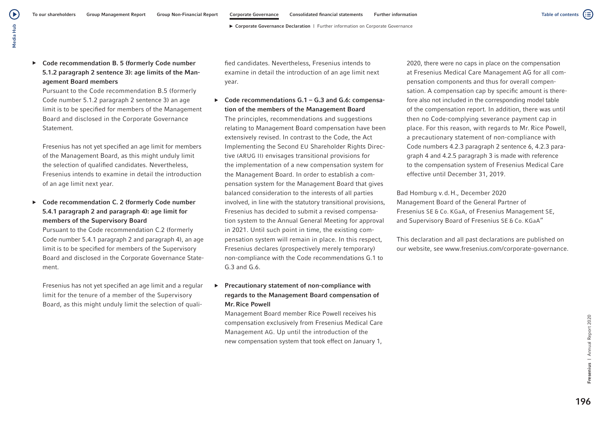▶ Code recommendation B. 5 (formerly Code number 5.1.2 paragraph 2 sentence 3): age limits of the Management Board members

Pursuant to the Code recommendation B.5 (formerly Code number 5.1.2 paragraph 2 sentence 3) an age limit is to be specified for members of the Management Board and disclosed in the Corporate Governance **Statement** 

 Fresenius has not yet specified an age limit for members of the Management Board, as this might unduly limit the selection of qualified candidates. Nevertheless, Fresenius intends to examine in detail the introduction of an age limit next year.

## Code recommendation C. 2 (formerly Code number 5.4.1 paragraph 2 and paragraph 4): age limit for members of the Supervisory Board

Pursuant to the Code recommendation C.2 (formerly Code number 5.4.1 paragraph 2 and paragraph 4), an age limit is to be specified for members of the Supervisory Board and disclosed in the Corporate Governance Statement.

 Fresenius has not yet specified an age limit and a regular limit for the tenure of a member of the Supervisory Board, as this might unduly limit the selection of quali-

fied candidates. Nevertheless, Fresenius intends to examine in detail the introduction of an age limit next year.

 $\triangleright$  Code recommendations G.1 – G.3 and G.6: compensation of the members of the Management Board The principles, recommendations and suggestions relating to Management Board compensation have been extensively revised. In contrast to the Code, the Act Implementing the Second EU Shareholder Rights Directive (ARUG II) envisages transitional provisions for the implementation of a new compensation system for the Management Board. In order to establish a compensation system for the Management Board that gives balanced consideration to the interests of all parties involved, in line with the statutory transitional provisions, Fresenius has decided to submit a revised compensation system to the Annual General Meeting for approval in 2021. Until such point in time, the existing compensation system will remain in place. In this respect, Fresenius declares (prospectively merely temporary) non-compliance with the Code recommendations G.1 to G.3 and G.6.

▶ Precautionary statement of non-compliance with regards to the Management Board compensation of Mr.Rice Powell

Management Board member Rice Powell receives his compensation exclusively from Fresenius Medical Care Management AG. Up until the introduction of the new compensation system that took effect on January 1, 2020, there were no caps in place on the compensation at Fresenius Medical Care Management AG for all compensation components and thus for overall compensation. A compensation cap by specific amount is therefore also not included in the corresponding model table of the compensation report. In addition, there was until then no Code-complying severance payment cap in place. For this reason, with regards to Mr. Rice Powell, a precautionary statement of non-compliance with Code numbers 4.2.3 paragraph 2 sentence 6, 4.2.3 paragraph 4 and 4.2.5 paragraph 3 is made with reference to the compensation system of Fresenius Medical Care effective until December 31, 2019.

Bad Homburg v.d.H., December 2020 Management Board of the General Partner of Fresenius SE & Co. KGaA, of Fresenius Management SE, and Supervisory Board of Fresenius SE & Co. KGaA"

This declaration and all past declarations are published on our website, see www.fresenius.com/corporate-governance.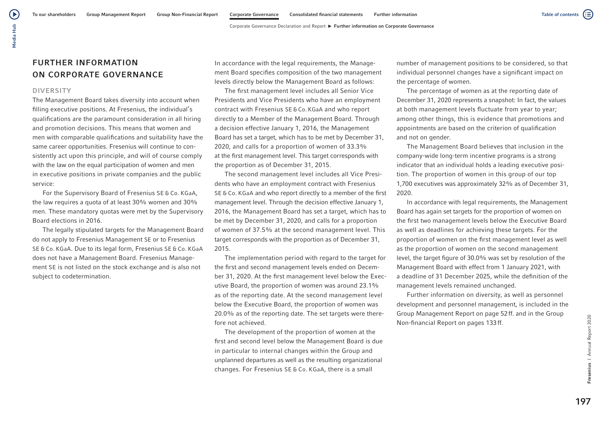## FURTHER INFORMATION ON CORPORATE GOVERNANCE

#### DIVERSITY

The Management Board takes diversity into account when filling executive positions. At Fresenius, the individual's qualifications are the paramount consideration in all hiring and promotion decisions. This means that women and men with comparable qualifications and suitability have the same career opportunities. Fresenius will continue to consistently act upon this principle, and will of course comply with the law on the equal participation of women and men in executive positions in private companies and the public service:

For the Supervisory Board of Fresenius SE & Co. KGaA, the law requires a quota of at least 30% women and 30% men. These mandatory quotas were met by the Supervisory Board elections in 2016.

The legally stipulated targets for the Management Board do not apply to Fresenius Management SE or to Fresenius SE & Co. KGaA. Due to its legal form, Fresenius SE & Co. KGaA does not have a Management Board. Fresenius Management SE is not listed on the stock exchange and is also not subject to codetermination.

In accordance with the legal requirements, the Management Board specifies composition of the two management levels directly below the Management Board as follows:

The first management level includes all Senior Vice Presidents and Vice Presidents who have an employment contract with Fresenius SE & Co. KGaA and who report directly to a Member of the Management Board. Through a decision effective January 1, 2016, the Management Board has set a target, which has to be met by December 31, 2020, and calls for a proportion of women of 33.3% at the first management level. This target corresponds with the proportion as of December 31, 2015.

The second management level includes all Vice Presidents who have an employment contract with Fresenius SE & Co. KGaA and who report directly to a member of the first management level. Through the decision effective January 1, 2016, the Management Board has set a target, which has to be met by December 31, 2020, and calls for a proportion of women of 37.5% at the second management level. This target corresponds with the proportion as of December 31, 2015.

The implementation period with regard to the target for the first and second management levels ended on December 31, 2020. At the first management level below the Executive Board, the proportion of women was around 23.1% as of the reporting date. At the second management level below the Executive Board, the proportion of women was 20.0% as of the reporting date. The set targets were therefore not achieved.

The development of the proportion of women at the first and second level below the Management Board is due in particular to internal changes within the Group and unplanned departures as well as the resulting organizational changes. For Fresenius SE & Co. KGaA, there is a small

number of management positions to be considered, so that individual personnel changes have a significant impact on the percentage of women.

The percentage of women as at the reporting date of December 31, 2020 represents a snapshot: In fact, the values at both management levels fluctuate from year to year; among other things, this is evidence that promotions and appointments are based on the criterion of qualification and not on gender.

The Management Board believes that inclusion in the company-wide long-term incentive programs is a strong indicator that an individual holds a leading executive position. The proportion of women in this group of our top 1,700 executives was approximately 32% as of December 31, 2020.

In accordance with legal requirements, the Management Board has again set targets for the proportion of women on the first two management levels below the Executive Board as well as deadlines for achieving these targets. For the proportion of women on the first management level as well as the proportion of women on the second management level, the target figure of 30.0% was set by resolution of the Management Board with effect from 1 January 2021, with a deadline of 31 December 2025, while the definition of the management levels remained unchanged.

Further information on diversity, as well as personnel development and personnel management, is included in the Group Management Report on page 52ff. and in the Group Non-financial Report on pages 133ff.